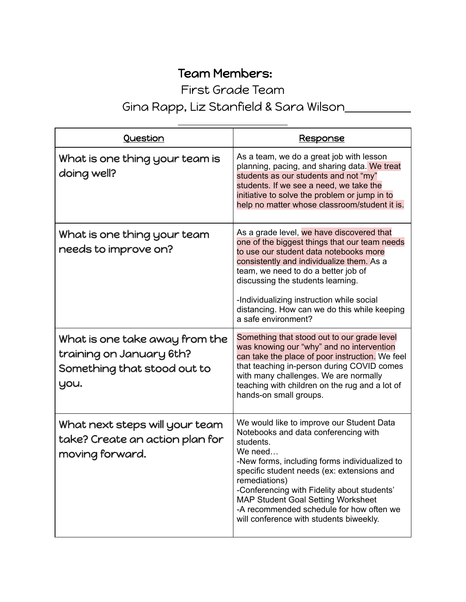## Team Members:

First Grade Team

## Gina Rapp, Liz Stanfield & Sara Wilson

| Question                                                                                          | <u>Response</u>                                                                                                                                                                                                                                                                                                                                                                                              |
|---------------------------------------------------------------------------------------------------|--------------------------------------------------------------------------------------------------------------------------------------------------------------------------------------------------------------------------------------------------------------------------------------------------------------------------------------------------------------------------------------------------------------|
| What is one thing your team is<br>doing well?                                                     | As a team, we do a great job with lesson<br>planning, pacing, and sharing data. We treat<br>students as our students and not "my"<br>students. If we see a need, we take the<br>initiative to solve the problem or jump in to<br>help no matter whose classroom/student it is.                                                                                                                               |
| What is one thing your team<br>needs to improve on?                                               | As a grade level, we have discovered that<br>one of the biggest things that our team needs<br>to use our student data notebooks more<br>consistently and individualize them. As a<br>team, we need to do a better job of<br>discussing the students learning.<br>-Individualizing instruction while social<br>distancing. How can we do this while keeping<br>a safe environment?                            |
| What is one take away from the<br>training on January 6th?<br>Something that stood out to<br>you. | Something that stood out to our grade level<br>was knowing our "why" and no intervention<br>can take the place of poor instruction. We feel<br>that teaching in-person during COVID comes<br>with many challenges. We are normally<br>teaching with children on the rug and a lot of<br>hands-on small groups.                                                                                               |
| What next steps will your team<br>take? Create an action plan for<br>moving forward.              | We would like to improve our Student Data<br>Notebooks and data conferencing with<br>students.<br>We need<br>-New forms, including forms individualized to<br>specific student needs (ex: extensions and<br>remediations)<br>-Conferencing with Fidelity about students'<br><b>MAP Student Goal Setting Worksheet</b><br>-A recommended schedule for how often we<br>will conference with students biweekly. |